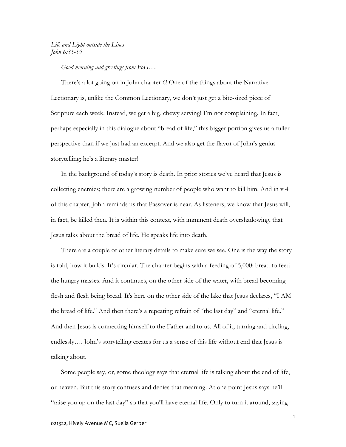## Life and Light outside the Lines John 6:35-59

Good morning and greetings from FoH....<br>There's a lot going on in John chapter 6! One of the things about the Narrative Lectionary is, unlike the Common Lectionary, we don't just get a bite-sized piece of Scripture each week. Instead, we get a big, chewy serving! I'm not complaining. In fact, perhaps especially in this dialogue about "bread of life," this bigger portion gives us a fuller perspective than if we just had an excerpt. And we also get the flavor of John's genius storytelling; he's a literary master!

In the background of today's story is death. In prior stories we've heard that Jesus is collecting enemies; there are a growing number of people who want to kill him. And in v 4 of this chapter, John reminds us that Passover is near. As listeners, we know that Jesus will, in fact, be killed then. It is within this context, with imminent death overshadowing, that Jesus talks about the bread of life. He speaks life into death.

There are a couple of other literary details to make sure we see. One is the way the story is told, how it builds. It's circular. The chapter begins with a feeding of 5,000: bread to feed the hungry masses. And it continues, on the other side of the water, with bread becoming flesh and flesh being bread. It's here on the other side of the lake that Jesus declares, "I AM the bread of life." And then there's a repeating refrain of "the last day" and "eternal life." And then Jesus is connecting himself to the Father and to us. All of it, turning and circling, endlessly…. John's storytelling creates for us a sense of this life without end that Jesus is talking about.

Some people say, or, some theology says that eternal life is talking about the end of life, or heaven. But this story confuses and denies that meaning. At one point Jesus says he'll "raise you up on the last day" so that you'll have eternal life. Only to turn it around, saying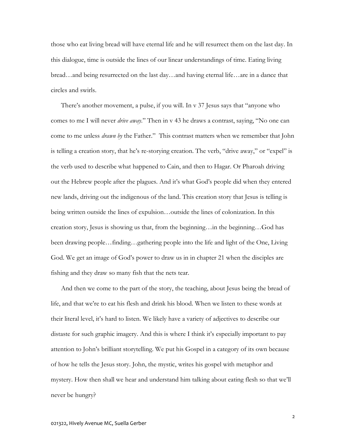those who eat living bread will have eternal life and he will resurrect them on the last day. In this dialogue, time is outside the lines of our linear understandings of time. Eating living bread…and being resurrected on the last day…and having eternal life…are in a dance that circles and swirls.

There's another movement, a pulse, if you will. In v 37 Jesus says that "anyone who comes to me I will never drive away." Then in v 43 he draws a contrast, saying, "No one can come to me unless *drawn by* the Father." This contrast matters when we remember that John is telling a creation story, that he's re-storying creation. The verb, "drive away," or "expel" is the verb used to describe what happened to Cain, and then to Hagar. Or Pharoah driving out the Hebrew people after the plagues. And it's what God's people did when they entered new lands, driving out the indigenous of the land. This creation story that Jesus is telling is being written outside the lines of expulsion…outside the lines of colonization. In this creation story, Jesus is showing us that, from the beginning…in the beginning…God has been drawing people…finding…gathering people into the life and light of the One, Living God. We get an image of God's power to draw us in in chapter 21 when the disciples are fishing and they draw so many fish that the nets tear.

And then we come to the part of the story, the teaching, about Jesus being the bread of life, and that we're to eat his flesh and drink his blood. When we listen to these words at their literal level, it's hard to listen. We likely have a variety of adjectives to describe our distaste for such graphic imagery. And this is where I think it's especially important to pay attention to John's brilliant storytelling. We put his Gospel in a category of its own because of how he tells the Jesus story. John, the mystic, writes his gospel with metaphor and mystery. How then shall we hear and understand him talking about eating flesh so that we'll never be hungry?

2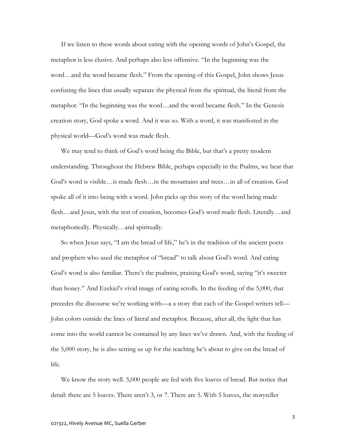If we listen to these words about eating with the opening words of John's Gospel, the metaphor is less elusive. And perhaps also less offensive. "In the beginning was the word…and the word became flesh." From the opening of this Gospel, John shows Jesus confusing the lines that usually separate the physical from the spiritual, the literal from the metaphor. "In the beginning was the word…and the word became flesh." In the Genesis creation story, God spoke a word. And it was so. With a word, it was manifested in the physical world—God's word was made flesh.

We may tend to think of God's word being the Bible, but that's a pretty modern understanding. Throughout the Hebrew Bible, perhaps especially in the Psalms, we hear that God's word is visible…is made flesh…in the mountains and trees…in all of creation. God spoke all of it into being with a word. John picks up this story of the word being made flesh…and Jesus, with the rest of creation, becomes God's word made flesh. Literally…and metaphorically. Physically…and spiritually.

So when Jesus says, "I am the bread of life," he's in the tradition of the ancient poets and prophets who used the metaphor of "bread" to talk about God's word. And eating God's word is also familiar. There's the psalmist, praising God's word, saying "it's sweeter than honey." And Ezekiel's vivid image of eating scrolls. In the feeding of the 5,000, that precedes the discourse we're working with—a a story that each of the Gospel writers tell— John colors outside the lines of literal and metaphor. Because, after all, the light that has come into the world cannot be contained by any lines we've drawn. And, with the feeding of the 5,000 story, he is also setting us up for the teaching he's about to give on the bread of life.

We know the story well. 5,000 people are fed with five loaves of bread. But notice that detail: there are 5 loaves. There aren't 3, or 7. There are 5. With 5 loaves, the storyteller

3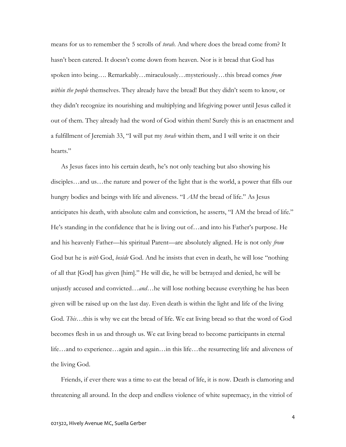means for us to remember the 5 scrolls of *torah*. And where does the bread come from? It hasn't been catered. It doesn't come down from heaven. Nor is it bread that God has spoken into being…. Remarkably…miraculously…mysteriously…this bread comes *from* within the people themselves. They already have the bread! But they didn't seem to know, or they didn't recognize its nourishing and multiplying and lifegiving power until Jesus called it out of them. They already had the word of God within them! Surely this is an enactment and a fulfillment of Jeremiah 33, "I will put my torah within them, and I will write it on their hearts."

As Jesus faces into his certain death, he's not only teaching but also showing his disciples…and us…the nature and power of the light that is the world, a power that fills our hungry bodies and beings with life and aliveness. "I AM the bread of life." As Jesus anticipates his death, with absolute calm and conviction, he asserts, "I AM the bread of life." He's standing in the confidence that he is living out of…and into his Father's purpose. He and his heavenly Father—his spiritual Parent—are absolutely aligned. He is not only from God but he is *with* God, *beside* God. And he insists that even in death, he will lose "nothing of all that [God] has given [him]." He will die, he will be betrayed and denied, he will be unjustly accused and convicted…*and*…he will lose nothing because everything he has been given will be raised up on the last day. Even death is within the light and life of the living God. This…this is why we eat the bread of life. We eat living bread so that the word of God becomes flesh in us and through us. We eat living bread to become participants in eternal life…and to experience…again and again…in this life…the resurrecting life and aliveness of the living God.

Friends, if ever there was a time to eat the bread of life, it is now. Death is clamoring and threatening all around. In the deep and endless violence of white supremacy, in the vitriol of

4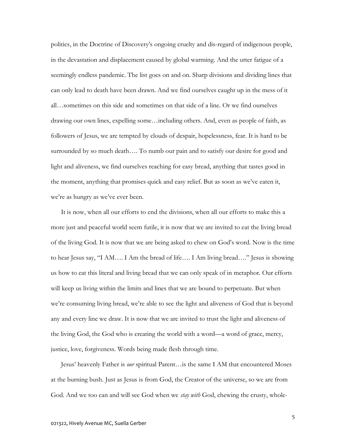politics, in the Doctrine of Discovery's ongoing cruelty and dis-regard of indigenous people, in the devastation and displacement caused by global warming. And the utter fatigue of a seemingly endless pandemic. The list goes on and on. Sharp divisions and dividing lines that can only lead to death have been drawn. And we find ourselves caught up in the mess of it all…sometimes on this side and sometimes on that side of a line. Or we find ourselves drawing our own lines, expelling some…including others. And, even as people of faith, as followers of Jesus, we are tempted by clouds of despair, hopelessness, fear. It is hard to be surrounded by so much death…. To numb our pain and to satisfy our desire for good and light and aliveness, we find ourselves reaching for easy bread, anything that tastes good in the moment, anything that promises quick and easy relief. But as soon as we've eaten it, we're as hungry as we've ever been.

It is now, when all our efforts to end the divisions, when all our efforts to make this a more just and peaceful world seem futile, it is now that we are invited to eat the living bread of the living God. It is now that we are being asked to chew on God's word. Now is the time to hear Jesus say, "I AM…. I Am the bread of life…. I Am living bread…." Jesus is showing us how to eat this literal and living bread that we can only speak of in metaphor. Our efforts will keep us living within the limits and lines that we are bound to perpetuate. But when we're consuming living bread, we're able to see the light and aliveness of God that is beyond any and every line we draw. It is now that we are invited to trust the light and aliveness of the living God, the God who is creating the world with a word—a word of grace, mercy, justice, love, forgiveness. Words being made flesh through time.

Jesus' heavenly Father is our spiritual Parent…is the same I AM that encountered Moses at the burning bush. Just as Jesus is from God, the Creator of the universe, so we are from God. And we too can and will see God when we *stay with* God, chewing the crusty, whole